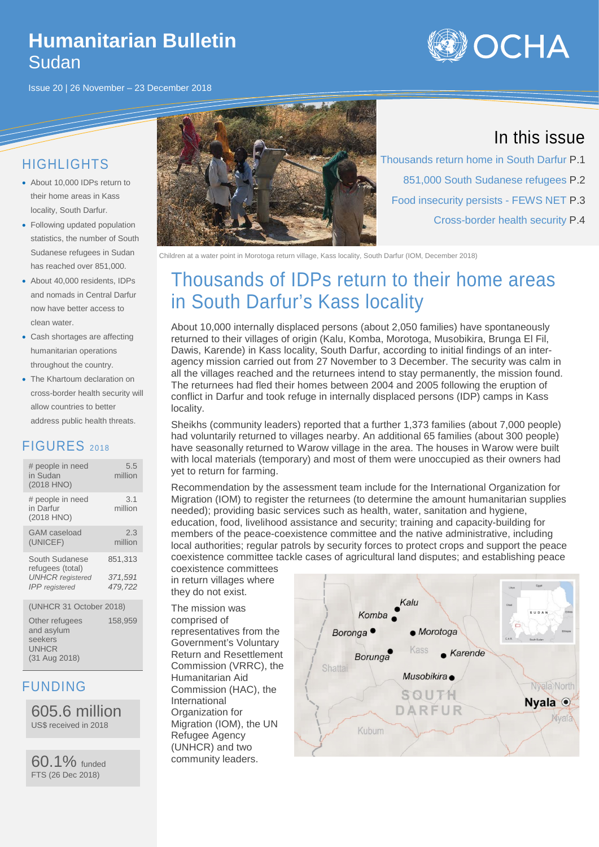### **Humanitarian Bulletin** Sudan

Issue 20 | 26 November – 23 December 2018



### HIGHLIGHTS

- About 10,000 IDPs return to their home areas in Kass locality, South Darfur.
- Following updated population statistics, the number of South Sudanese refugees in Sudan has reached over 851,000.
- About 40,000 residents, IDPs and nomads in Central Darfur now have better access to clean water.
- Cash shortages are affecting humanitarian operations throughout the country.
- The Khartoum declaration on cross-border health security will allow countries to better address public health threats.

### FIGURES 2018

| # people in need<br>in Sudan<br>(2018 HNO)                    | 5.5<br>million     |
|---------------------------------------------------------------|--------------------|
| # people in need<br>in Darfur<br>(2018 HNO)                   | 3.1<br>million     |
| <b>GAM</b> caseload<br>(UNICEF)                               | 2.3<br>million     |
| South Sudanese<br>refugees (total)<br><b>UNHCR</b> registered | 851,313<br>371,591 |
| <b>IPP</b> registered                                         | 479.722            |
| (UNHCR 31 October 2018)                                       |                    |

Other refugees and asylum seekers **UNHCR** (31 Aug 2018) 158,959

### FUNDING

605.6 million US\$ received in 2018

60.1% funded FTS (26 Dec 2018)



### In this issue

Thousands return home in South Darfur P.1 851,000 South Sudanese refugees P.2 Food insecurity persists - FEWS NET P.3 Cross-border health security P.4

Children at a water point in Morotoga return village, Kass locality, South Darfur (IOM, December 2018)

# Thousands of IDPs return to their home areas in South Darfur's Kass locality

About 10,000 internally displaced persons (about 2,050 families) have spontaneously returned to their villages of origin (Kalu, Komba, Morotoga, Musobikira, Brunga El Fil, Dawis, Karende) in Kass locality, South Darfur, according to initial findings of an interagency mission carried out from 27 November to 3 December. The security was calm in all the villages reached and the returnees intend to stay permanently, the mission found. The returnees had fled their homes between 2004 and 2005 following the eruption of conflict in Darfur and took refuge in internally displaced persons (IDP) camps in Kass locality.

Sheikhs (community leaders) reported that a further 1,373 families (about 7,000 people) had voluntarily returned to villages nearby. An additional 65 families (about 300 people) have seasonally returned to Warow village in the area. The houses in Warow were built with local materials (temporary) and most of them were unoccupied as their owners had yet to return for farming.

Recommendation by the assessment team include for the International Organization for Migration (IOM) to register the returnees (to determine the amount humanitarian supplies needed); providing basic services such as health, water, sanitation and hygiene, education, food, livelihood assistance and security; training and capacity-building for members of the peace-coexistence committee and the native administrative, including local authorities; regular patrols by security forces to protect crops and support the peace coexistence committee tackle cases of agricultural land disputes; and establishing peace

coexistence committees in return villages where they do not exist.

The mission was comprised of representatives from the Government's Voluntary Return and Resettlement Commission (VRRC), the Humanitarian Aid Commission (HAC), the International Organization for Migration (IOM), the UN Refugee Agency (UNHCR) and two community leaders.

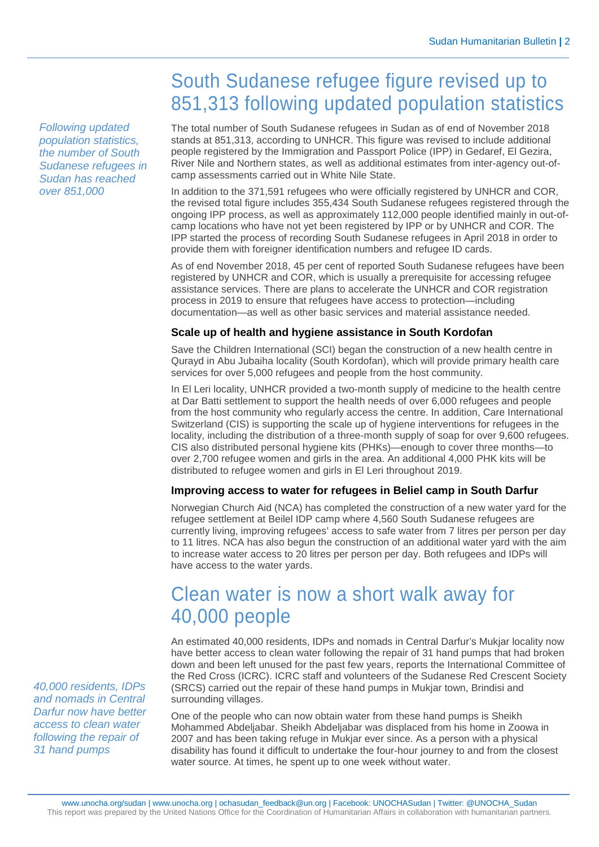## South Sudanese refugee figure revised up to 851,313 following updated population statistics

The total number of South Sudanese refugees in Sudan as of end of November 2018 stands at 851,313, according to UNHCR. This figure was revised to include additional people registered by the Immigration and Passport Police (IPP) in Gedaref, El Gezira, River Nile and Northern states, as well as additional estimates from inter-agency out-ofcamp assessments carried out in White Nile State.

In addition to the 371,591 refugees who were officially registered by UNHCR and COR, the revised total figure includes 355,434 South Sudanese refugees registered through the ongoing IPP process, as well as approximately 112,000 people identified mainly in out-ofcamp locations who have not yet been registered by IPP or by UNHCR and COR. The IPP started the process of recording South Sudanese refugees in April 2018 in order to provide them with foreigner identification numbers and refugee ID cards.

As of end November 2018, 45 per cent of reported South Sudanese refugees have been registered by UNHCR and COR, which is usually a prerequisite for accessing refugee assistance services. There are plans to accelerate the UNHCR and COR registration process in 2019 to ensure that refugees have access to protection—including documentation—as well as other basic services and material assistance needed.

#### **Scale up of health and hygiene assistance in South Kordofan**

Save the Children International (SCI) began the construction of a new health centre in Qurayd in Abu Jubaiha locality (South Kordofan), which will provide primary health care services for over 5,000 refugees and people from the host community.

In El Leri locality, UNHCR provided a two-month supply of medicine to the health centre at Dar Batti settlement to support the health needs of over 6,000 refugees and people from the host community who regularly access the centre. In addition, Care International Switzerland (CIS) is supporting the scale up of hygiene interventions for refugees in the locality, including the distribution of a three-month supply of soap for over 9,600 refugees. CIS also distributed personal hygiene kits (PHKs)—enough to cover three months—to over 2,700 refugee women and girls in the area. An additional 4,000 PHK kits will be distributed to refugee women and girls in El Leri throughout 2019.

#### **Improving access to water for refugees in Beliel camp in South Darfur**

Norwegian Church Aid (NCA) has completed the construction of a new water yard for the refugee settlement at Beilel IDP camp where 4,560 South Sudanese refugees are currently living, improving refugees' access to safe water from 7 litres per person per day to 11 litres. NCA has also begun the construction of an additional water yard with the aim to increase water access to 20 litres per person per day. Both refugees and IDPs will have access to the water yards.

### Clean water is now a short walk away for 40,000 people

An estimated 40,000 residents, IDPs and nomads in Central Darfur's Mukjar locality now have better access to clean water following the repair of 31 hand pumps that had broken down and been left unused for the past few years, reports the International Committee of the Red Cross (ICRC). ICRC staff and volunteers of the Sudanese Red Crescent Society (SRCS) carried out the repair of these hand pumps in Mukjar town, Brindisi and surrounding villages.

One of the people who can now obtain water from these hand pumps is Sheikh Mohammed Abdeljabar. Sheikh Abdeljabar was displaced from his home in Zoowa in 2007 and has been taking refuge in Mukjar ever since. As a person with a physical disability has found it difficult to undertake the four-hour journey to and from the closest water source. At times, he spent up to one week without water.

*Following updated population statistics, the number of South Sudanese refugees in Sudan has reached over 851,000* 

*40,000 residents, IDPs and nomads in Central Darfur now have better access to clean water following the repair of 31 hand pumps*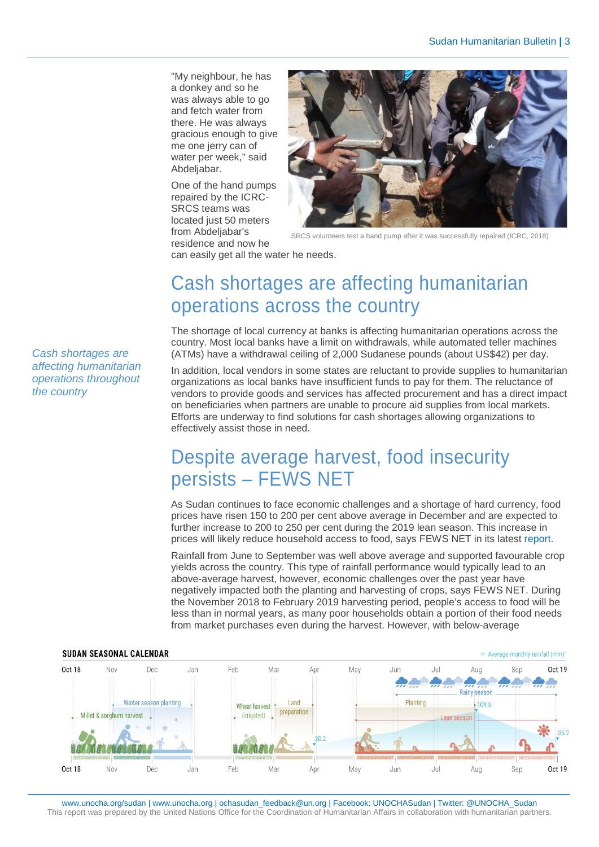"My neighbour, he has a donkey and so he was always able to go and fetch water from there. He was always gracious enough to give me one jerry can of water per week," said Abdeliabar.

One of the hand pumps repaired by the ICRC-SRCS teams was located just 50 meters from Abdeljabar's residence and now he



SRCS volunteers test a hand pump after it was successfully repaired (ICRC, 2018)

can easily get all the water he needs.

## Cash shortages are affecting humanitarian operations across the country

The shortage of local currency at banks is affecting humanitarian operations across the country. Most local banks have a limit on withdrawals, while automated teller machines (ATMs) have a withdrawal ceiling of 2,000 Sudanese pounds (about US\$42) per day.

In addition, local vendors in some states are reluctant to provide supplies to humanitarian organizations as local banks have insufficient funds to pay for them. The reluctance of vendors to provide goods and services has affected procurement and has a direct impact on beneficiaries when partners are unable to procure aid supplies from local markets. Efforts are underway to find solutions for cash shortages allowing organizations to effectively assist those in need.

## Despite average harvest, food insecurity persists – FEWS NET

As Sudan continues to face economic challenges and a shortage of hard currency, food prices have risen 150 to 200 per cent above average in December and are expected to further increase to 200 to 250 per cent during the 2019 lean season. This increase in prices will likely reduce household access to food, says FEWS NET in its latest [report.](https://reliefweb.int/sites/reliefweb.int/files/resources/Sudan%20Outlook_122018.pdf)

Rainfall from June to September was well above average and supported favourable crop yields across the country. This type of rainfall performance would typically lead to an above-average harvest, however, economic challenges over the past year have negatively impacted both the planting and harvesting of crops, says FEWS NET. During the November 2018 to February 2019 harvesting period, people's access to food will be less than in normal years, as many poor households obtain a portion of their food needs from market purchases even during the harvest. However, with below-average



www.unocha.org/sudan [| www.unocha.org](http://www.unocha.org/) | ochasudan\_feedback@un.org | Facebook: UNOCHASudan | Twitter: @UNOCHA\_Sudan This report was prepared by the United Nations Office for the Coordination of Humanitarian Affairs in collaboration with humanitarian partners.

*Cash shortages are affecting humanitarian operations throughout the country*